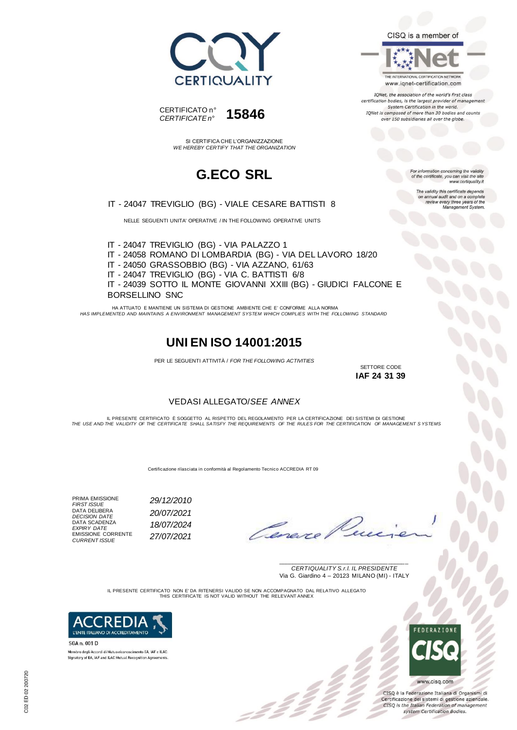



SI CERTIFICA CHE L'ORGANIZZAZIONE *WE HEREBY CERTIFY THAT THE ORGANIZATION*

### **G.ECO SRL**

IT - 24047 TREVIGLIO (BG) - VIALE CESARE BATTISTI 8

NELLE SEGUENTI UNITA' OPERATIVE / IN THE FOLLOWING OPERATIVE UNITS

IT - 24047 TREVIGLIO (BG) - VIA PALAZZO 1 IT - 24058 ROMANO DI LOMBARDIA (BG) - VIA DEL LAVORO 18/20 IT - 24050 GRASSOBBIO (BG) - VIA AZZANO, 61/63 IT - 24047 TREVIGLIO (BG) - VIA C. BATTISTI 6/8 IT - 24039 SOTTO IL MONTE GIOVANNI XXIII (BG) - GIUDICI FALCONE E BORSELLINO SNC

HA ATTUATO E MANTIENE UN SISTEMA DI GESTIONE AMBIENTE CHE E' CONFORME ALLA NORMA *HAS IMPLEMENTED AND MAINTAINS A ENVIRONMENT MANAGEMENT SYSTEM WHICH COMPLIES WITH THE FOLLOWING STANDARD*

#### **UNI EN ISO 14001:2015**

PER LE SEGUENTI ATTIVITÀ / *FOR THE FOLLOWING ACTIVITIES*

SETTORE CODE **IAF 24 31 39**

#### VEDASI ALLEGATO/*SEE ANNEX*

IL PRESENTE CERTIFICATO E SOGGETTO AL RISPETTO DEL REGOLAMENTO PER LA CERTIFICAZIONE DEI SISTEMI DI GESTIONE<br>THE USE AND THE VALIDITY OF THE CERTIFICATE SHALL SATISFY THE REQUIREMENTS OF THE RULES FOR THE CERTIFICATION OF

Certificazione rilasciata in conformità al Regolamento Tecnico ACCREDIA RT 09

PRIMA EMISSIONE *FIRST ISSUE 29/12/2010* DATA DELIBERA<br>DECISION DATE *DECISION DATE 20/07/2021* DATA SCADENZA *EXPIRY DATE 18/07/2024* EMISSIONE CORRENTE *CURRENT ISSUE 27/07/2021*

Teneve

\_\_\_\_\_\_\_\_\_\_\_\_\_\_\_\_\_\_\_\_\_\_\_\_\_\_\_\_\_\_\_\_\_\_\_\_\_\_\_ *CERTIQUALITY S.r.l. IL PRESIDENTE* Via G. Giardino 4 – 20123 MILANO (MI) - ITALY

IL PRESENTE CERTIFICATO NON E' DA RITENERSI VALIDO SE NON ACCOMPAGNATO DAL RELATIVO ALLEGATO THIS CERTIFICATE IS NOT VALID WITHOUT THE RELEVANT ANNEX

= 2 2<br>- 2 2



SGA n. 001 D Membro degli Accordi di Mutuo riconoscimento EA, IAF e ILAC. Signatory of EA, IAF and ILAC Mutual Recognition Agreements



CISQ è la Federazione Italiana di Organismi di Certificazione dei sistemi di gestione aziendale.<br>CISQ is the Italian Federation of management system Certification Bodies.

CISQ is a member of

THE INTERNATIONAL CERTIFICATION NETWORK www.iqnet-certification.com

IQNet, the association of the world's first class certification bodies, is the largest provider of management System Certification in the world. IONet is composed of more than 30 bodies and counts over 150 subsidiaries all over the globe.

> or information concerning the validity of the certificate, you can visit the sit www.certiquality.it

The validity this certificate depends validity this certificate depends<br>annual audit and on a complete<br>review every three years of the<br>Management System.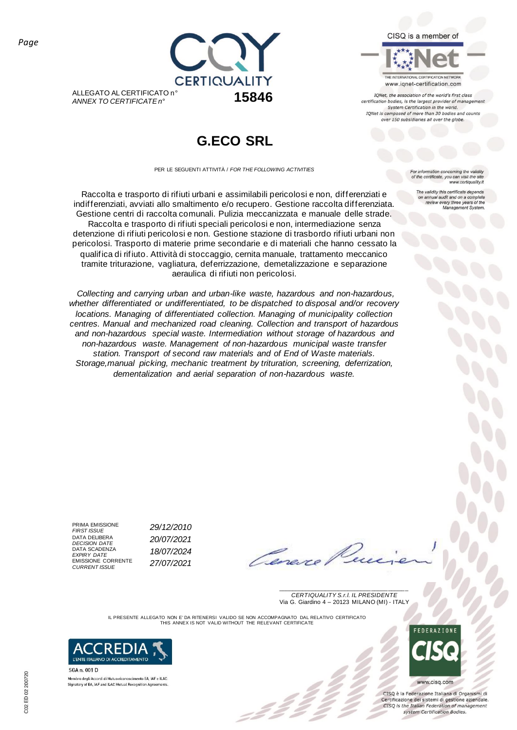CISQ is a member of



IQNet, the association of the world's first class certification bodies, is the largest provider of management<br>System Certification in the world. IONet is composed of more than 30 bodies and counts over 150 subsidiaries all over the globe.

CERTIQUALITY ALLEGATO AL CERTIFICATO n° *ANNEX TO CERTIFICATE n°* **15846**

# **G.ECO SRL**

PER LE SEGUENTI ATTIVITÀ / *FOR THE FOLLOWING ACTIVITIES*

Raccolta e trasporto di rifiuti urbani e assimilabili pericolosi e non, differenziati e indifferenziati, avviati allo smaltimento e/o recupero. Gestione raccolta differenziata. Gestione centri di raccolta comunali. Pulizia meccanizzata e manuale delle strade. Raccolta e trasporto di rifiuti speciali pericolosi e non, intermediazione senza detenzione di rifiuti pericolosi e non. Gestione stazione di trasbordo rifiuti urbani non pericolosi. Trasporto di materie prime secondarie e di materiali che hanno cessato la qualifica di rifiuto. Attività di stoccaggio, cernita manuale, trattamento meccanico tramite triturazione, vagliatura, deferrizzazione, demetalizzazione e separazione aeraulica di rifiuti non pericolosi.

*Collecting and carrying urban and urban-like waste, hazardous and non-hazardous, whether differentiated or undifferentiated, to be dispatched to disposal and/or recovery locations. Managing of differentiated collection. Managing of municipality collection centres. Manual and mechanized road cleaning. Collection and transport of hazardous and non-hazardous special waste. Intermediation without storage of hazardous and non-hazardous waste. Management of non-hazardous municipal waste transfer station. Transport of second raw materials and of End of Waste materials. Storage,manual picking, mechanic treatment by trituration, screening, deferrization, dementalization and aerial separation of non-hazardous waste.*

or information concerning the validity of the certificate, you can visit the sit www.certiquality.it

The validity this certificate depends<br>on annual audit and on a complete<br>review every three years of the<br>Management System.

PRIMA EMISSIONE<br>FIRST ISSUE DATA DELIBERA<br>DECISION DATE DATA SCADENZA<br>EXPIRY DATE EXPINT DATE *CURRENT ISSUE 27/07/2021*

*FIRST ISSUE 29/12/2010 DECISION DATE 20/07/2021 EXPIRY DATE 18/07/2024*

\_\_\_\_\_\_\_\_\_\_\_\_\_\_\_\_\_\_\_\_\_\_\_\_\_\_\_\_\_\_\_\_\_\_\_\_\_\_\_ *CERTIQUALITY S.r.l. IL PRESIDENTE* Via G. Giardino 4 – 20123 MILANO (MI) - ITALY

IL PRESENTE ALLEGATO NON E' DA RITENERSI VALIDO SE NON ACCOMPAGNATO DAL RELATIVO CERTIFICATO THIS ANNEX IS NOT VALID WITHOUT THE RELEVANT CERTIFICATE



SGA n. 001 D

Membro degli Accordi di Mutuo riconoscimento EA, IAF e ILAC Signatory of EA, IAF and ILAC Mutual Recognition Agreements www.cisq.com

CISQ è la Federazione Italiana di Organismi di Certificazione dei sistemi di gestione aziendale.<br>CISQ is the Italian Federation of management system Certification Bodies.